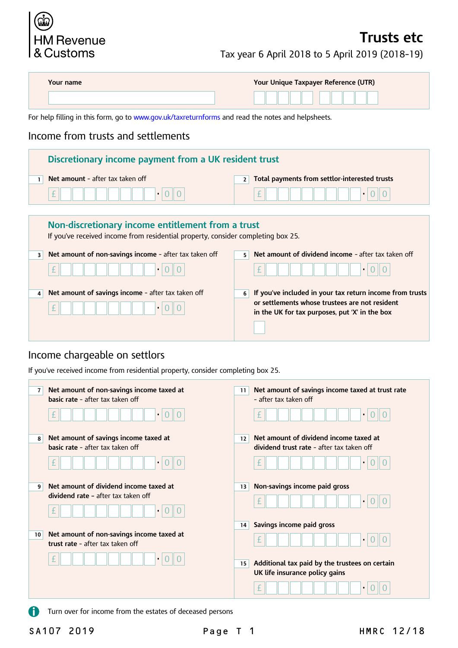

## **Trusts etc**

Tax year 6 April 2018 to 5 April 2019 (2018–19)

**in the UK for tax purposes, put 'X' in the box** 

|              | Your name                                                                                                                             | Your Unique Taxpayer Reference (UTR)                          |  |  |  |  |  |
|--------------|---------------------------------------------------------------------------------------------------------------------------------------|---------------------------------------------------------------|--|--|--|--|--|
|              | For help filling in this form, go to www.gov.uk/taxreturnforms and read the notes and helpsheets.                                     |                                                               |  |  |  |  |  |
|              | Income from trusts and settlements                                                                                                    |                                                               |  |  |  |  |  |
|              | Discretionary income payment from a UK resident trust                                                                                 |                                                               |  |  |  |  |  |
| $\mathbf{1}$ | Net amount - after tax taken off                                                                                                      | Total payments from settlor-interested trusts<br>2            |  |  |  |  |  |
|              | £<br>$\bullet$                                                                                                                        | 土                                                             |  |  |  |  |  |
|              |                                                                                                                                       |                                                               |  |  |  |  |  |
|              | Non-discretionary income entitlement from a trust<br>If you've received income from residential property, consider completing box 25. |                                                               |  |  |  |  |  |
| 3            | Net amount of non-savings income - after tax taken off                                                                                | Net amount of dividend income - after tax taken off<br>5.     |  |  |  |  |  |
|              | £                                                                                                                                     | £                                                             |  |  |  |  |  |
| 4            | Net amount of savings income - after tax taken off                                                                                    | If you've included in your tax return income from trusts<br>6 |  |  |  |  |  |
|              | <u>rak dan berkenal dari sebagai sebagai sebagai sebagai sebagai sebagai sebagai sebagai sebagai sebagai sebagai</u>                  | or settlements whose trustees are not resident                |  |  |  |  |  |

## Income chargeable on settlors

£ • 0 0

If you've received income from residential property, consider completing box 25.

| $\overline{7}$  | Net amount of non-savings income taxed at<br>basic rate - after tax taken off<br>$\bullet$ | Net amount of savings income taxed at trust rate<br>11<br>- after tax taken off<br>$\bullet$ |
|-----------------|--------------------------------------------------------------------------------------------|----------------------------------------------------------------------------------------------|
| 8               | Net amount of savings income taxed at<br><b>basic rate - after tax taken off</b>           | Net amount of dividend income taxed at<br>12<br>dividend trust rate - after tax taken off    |
| 9               | $\bullet$<br>Net amount of dividend income taxed at                                        | $\bullet$<br>Non-savings income paid gross<br>13                                             |
|                 | dividend rate - after tax taken off<br>$\bullet$                                           | $\bullet$<br>Savings income paid gross<br>14                                                 |
| 10 <sup>1</sup> | Net amount of non-savings income taxed at<br>trust rate - after tax taken off              | $\bullet$                                                                                    |
|                 | $\bullet$                                                                                  | Additional tax paid by the trustees on certain<br>15<br>UK life insurance policy gains       |

 $\mathbf \Omega$ Turn over for income from the estates of deceased persons